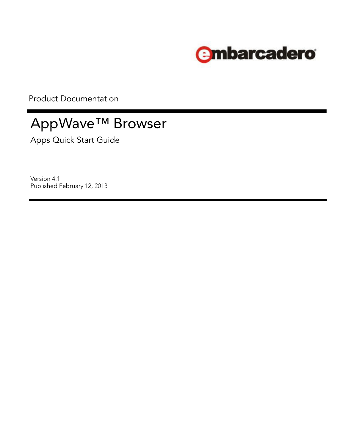

Product Documentation

# AppWave™ Browser

Apps Quick Start Guide

Version 4.1 Published February 12, 2013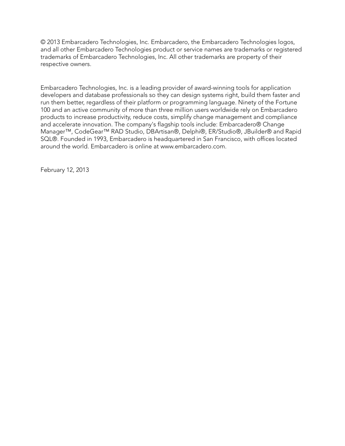© 2013 Embarcadero Technologies, Inc. Embarcadero, the Embarcadero Technologies logos, and all other Embarcadero Technologies product or service names are trademarks or registered trademarks of Embarcadero Technologies, Inc. All other trademarks are property of their respective owners.

Embarcadero Technologies, Inc. is a leading provider of award-winning tools for application developers and database professionals so they can design systems right, build them faster and run them better, regardless of their platform or programming language. Ninety of the Fortune 100 and an active community of more than three million users worldwide rely on Embarcadero products to increase productivity, reduce costs, simplify change management and compliance and accelerate innovation. The company's flagship tools include: Embarcadero® Change Manager™, CodeGear™ RAD Studio, DBArtisan®, Delphi®, ER/Studio®, JBuilder® and Rapid SQL®. Founded in 1993, Embarcadero is headquartered in San Francisco, with offices located around the world. Embarcadero is online at www.embarcadero.com.

February 12, 2013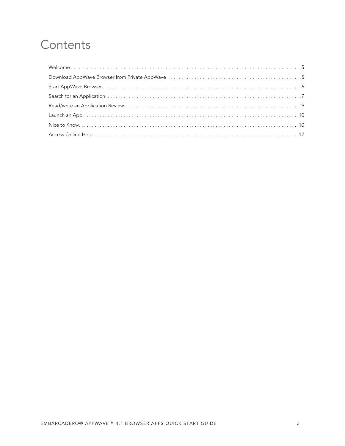## Contents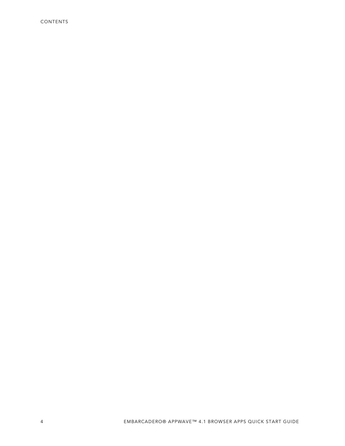CONTENTS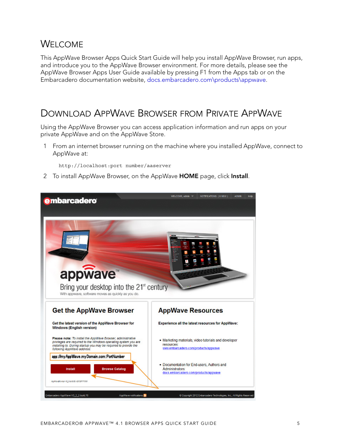#### <span id="page-4-0"></span>WELCOME

This AppWave Browser Apps Quick Start Guide will help you install AppWave Browser, run apps, and introduce you to the AppWave Browser environment. For more details, please see the AppWave Browser Apps User Guide available by pressing F1 from the Apps tab or on the Embarcadero documentation website, [docs.embarcadero.com\products\appwave.](http://docs.embarcadero.com\products\appwave)

#### <span id="page-4-1"></span>DOWNLOAD APPWAVE BROWSER FROM PRIVATE APPWAVE

Using the AppWave Browser you can access application information and run apps on your private AppWave and on the AppWave Store.

1 From an internet browser running on the machine where you installed AppWave, connect to AppWave at:

http://localhost:port number/aaserver

2 To install AppWave Browser, on the AppWave **HOME** page, click **Install**.

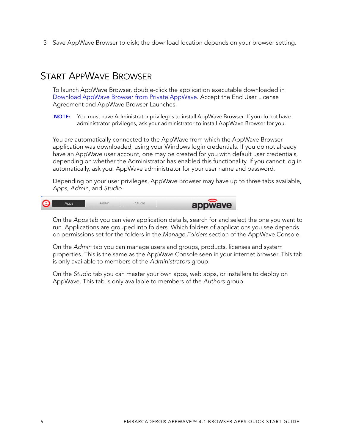3 Save AppWave Browser to disk; the download location depends on your browser setting.

#### <span id="page-5-0"></span>START APPWAVE BROWSER

To launch AppWave Browser, double-click the application executable downloaded in [Download AppWave Browser from Private AppWave.](#page-4-1) Accept the End User License Agreement and AppWave Browser Launches.

**NOTE:** You must have Administrator privileges to install AppWave Browser. If you do not have administrator privileges, ask your administrator to install AppWave Browser for you.

You are automatically connected to the AppWave from which the AppWave Browser application was downloaded, using your Windows login credentials. If you do not already have an AppWave user account, one may be created for you with default user credentials, depending on whether the Administrator has enabled this functionality. If you cannot log in automatically, ask your AppWave administrator for your user name and password.

Depending on your user privileges, AppWave Browser may have up to three tabs available, Apps, Admin, and Studio.



On the Apps tab you can view application details, search for and select the one you want to run. Applications are grouped into folders. Which folders of applications you see depends on permissions set for the folders in the Manage Folders section of the AppWave Console.

On the Admin tab you can manage users and groups, products, licenses and system properties. This is the same as the AppWave Console seen in your internet browser. This tab is only available to members of the Administrators group.

On the Studio tab you can master your own apps, web apps, or installers to deploy on AppWave. This tab is only available to members of the Authors group.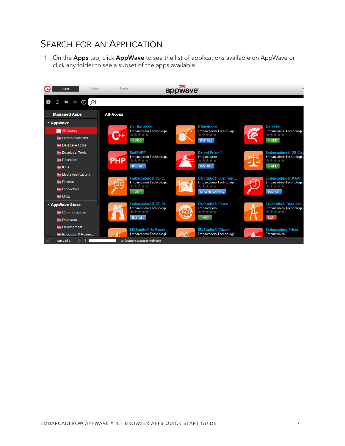#### <span id="page-6-0"></span>SEARCH FOR AN APPLICATION

1 On the **Apps** tab, click **AppWave** to see the list of applications available on AppWave or click any folder to see a subset of the apps available.

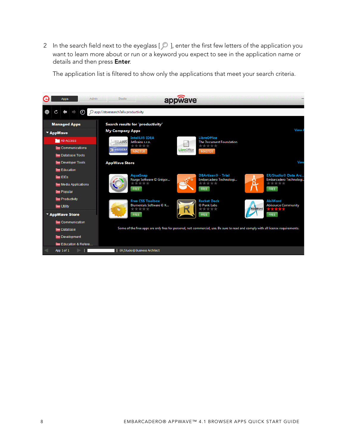2 In the search field next to the eyeglass  $[$   $]$ , enter the first few letters of the application you want to learn more about or run or a keyword you expect to see in the application name or details and then press **Enter**.

The application list is filtered to show only the applications that meet your search criteria.

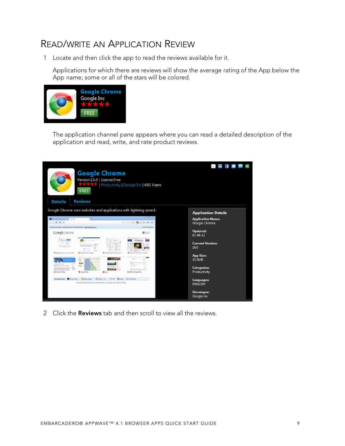#### <span id="page-8-0"></span>READ/WRITE AN APPLICATION REVIEW

1 Locate and then click the app to read the reviews available for it.

Applications for which there are reviews will show the average rating of the App below the App name; some or all of the stars will be colored.



The application channel pane appears where you can read a detailed description of the application and read, write, and rate product reviews.

| <b>Details</b>                                                                                           | Version:16.0   License:Free<br><b>FREE</b><br><b>Reviews</b>                                                                                                                                              | <b>Google Chrome</b>                                                                 | Actor At   Productivity   Google Inc   480 Users                                                                     | Æ                                                                       |
|----------------------------------------------------------------------------------------------------------|-----------------------------------------------------------------------------------------------------------------------------------------------------------------------------------------------------------|--------------------------------------------------------------------------------------|----------------------------------------------------------------------------------------------------------------------|-------------------------------------------------------------------------|
| Choos Experients - Det., > / New Tab<br>$-0$ d $0$ d                                                     |                                                                                                                                                                                                           |                                                                                      | Google Chrome runs websites and applications with lightning speed.<br>688<br>$0 R B - A$<br>Type to nearch (AC)<br>黒 | <b>Application Details</b><br><b>Application Name:</b><br>Google Chrome |
| For guidi accuse, place your bookmarks have on the beploweris bar. Import bookmarks now<br>Google chrome |                                                                                                                                                                                                           |                                                                                      | <b>C</b> Other bookmarks<br>$\mathbf{H}$ and $\mathbf{H}$                                                            | <b>Updated:</b><br>$01 - 06 - 12$                                       |
| Congle Chrome - der schnelle.                                                                            | <b>STATE</b><br>Coagle Chrome Blog                                                                                                                                                                        | <b><i>CASSING COMMANDS</i></b><br><b>Thomas</b><br><b>B</b> Google Chrome Extensions | <b><i>Electra Quick Essex</i></b><br><b>E</b> The New York Times - Breaki                                            | <b>Current Version:</b><br>16.0                                         |
| <b>STAR</b><br><b>ISC</b>                                                                                | <b>British</b><br>me.<br><b>Automotive</b>                                                                                                                                                                |                                                                                      | õ<br><b>Tarato</b>                                                                                                   | <b>App Size:</b><br>33.5MB<br><b>Categories:</b>                        |
| Chromium Blog                                                                                            | <b>Co</b> Group's Maps<br>Recently closed Chronic Exps., Official Good. @ Ghostery G., [7] This Congle West Ministracy #<br>Customize Google Chrome with themes! Check out designs at the Themes Gallery. | <b>D</b> cels                                                                        | <b>CO</b> Official Google Blog                                                                                       | Productivity<br>Languages:<br><b>ENGLISH</b>                            |
|                                                                                                          |                                                                                                                                                                                                           |                                                                                      |                                                                                                                      | Developer:<br>Google Inc                                                |

2 Click the **Reviews** tab and then scroll to view all the reviews.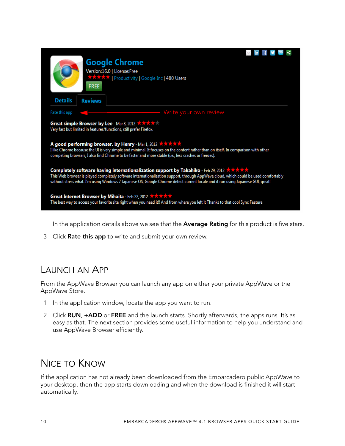|                | <b>FREE</b>    | <b>Google Chrome</b><br>Version:16.0   License:Free<br>★★★★★   Productivity   Google Inc   480 Users                                                                                                                                                                                                                                                         |                       |  |  |  |
|----------------|----------------|--------------------------------------------------------------------------------------------------------------------------------------------------------------------------------------------------------------------------------------------------------------------------------------------------------------------------------------------------------------|-----------------------|--|--|--|
| <b>Details</b> | <b>Reviews</b> |                                                                                                                                                                                                                                                                                                                                                              |                       |  |  |  |
| Rate this app  |                |                                                                                                                                                                                                                                                                                                                                                              | Write your own review |  |  |  |
|                |                | Great simple Browser by Lee - Mar 8, 2012 and the lot<br>Very fast but limited in features/functions, still prefer Firefox.                                                                                                                                                                                                                                  |                       |  |  |  |
|                |                | A good performing browser. by Henry - Mar 1, 2012 A A A A A<br>I like Chrome because the UI is very simple and minimal. It focuses on the content rather than on itself. In comparison with other<br>competing browsers, I also find Chrome to be faster and more stable (i.e., less crashes or freezes).                                                    |                       |  |  |  |
|                |                | Completely software having internationalization support by Takahiko - Feb 29, 2012<br>This Web browser is played completely software internationalization support, through AppWave cloud, which could be used comfortably<br>without stress what. I'm using Windows 7 Japanese OS, Google Chrome detect current locale and it run using Japanese GUI, great! |                       |  |  |  |
|                |                | Great Internet Browser by Mihaita - Feb 22, 2012<br>The best way to access your favorite site right when you need it!! And from where you left it Thanks to that cool Sync Feature                                                                                                                                                                           |                       |  |  |  |

In the application details above we see that the **Average Rating** for this product is five stars.

3 Click **Rate this app** to write and submit your own review.

#### <span id="page-9-0"></span>LAUNCH AN APP

From the AppWave Browser you can launch any app on either your private AppWave or the AppWave Store.

- 1 In the application window, locate the app you want to run.
- 2 Click **RUN**, **+ADD** or **FREE** and the launch starts. Shortly afterwards, the apps runs. It's as easy as that. The next section provides some useful information to help you understand and use AppWave Browser efficiently.

#### <span id="page-9-1"></span>NICE TO KNOW

If the application has not already been downloaded from the Embarcadero public AppWave to your desktop, then the app starts downloading and when the download is finished it will start automatically.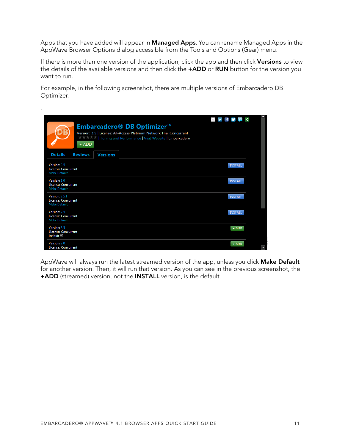Apps that you have added will appear in **Managed Apps**. You can rename Managed Apps in the AppWave Browser Options dialog accessible from the Tools and Options (Gear) menu.

If there is more than one version of the application, click the app and then click **Versions** to view the details of the available versions and then click the **+ADD** or **RUN** button for the version you want to run.

For example, in the following screenshot, there are multiple versions of Embarcadero DB Optimizer.

.

| ***<br>$+$ ADD                                                    |                 | $\mathbb{N}$ in $f$ $\mathbb{V}$ $\mathbb{V}$ $\leq$<br>Embarcadero® DB Optimizer <sup>™</sup><br>Version: 3.5   License: All-Access Platinum Network Trial Concurrent<br>Tuning and Performance   Visit Website   Embarcadero |   |
|-------------------------------------------------------------------|-----------------|--------------------------------------------------------------------------------------------------------------------------------------------------------------------------------------------------------------------------------|---|
| <b>Details</b><br><b>Reviews</b>                                  | <b>Versions</b> |                                                                                                                                                                                                                                |   |
| Version: 3.5<br><b>License: Concurrent</b><br><b>Make Default</b> |                 | <b>INSTALL</b>                                                                                                                                                                                                                 |   |
| Version: 3.0<br><b>License: Concurrent</b><br>Make Default        |                 | <b>INSTALL</b>                                                                                                                                                                                                                 |   |
| Version: 2.5.1<br><b>License: Concurrent</b><br>Make Default      |                 | <b>INSTALL</b>                                                                                                                                                                                                                 |   |
| Version: 2.5<br><b>License: Concurrent</b><br>Make Default        |                 | <b>INSTALL</b>                                                                                                                                                                                                                 |   |
| Version: 3.5<br><b>License: Concurrent</b><br>Default             |                 | $+$ ADD                                                                                                                                                                                                                        |   |
| Version: 3.0<br><b>License: Concurrent</b>                        |                 | $+$ ADD                                                                                                                                                                                                                        | ≂ |

AppWave will always run the latest streamed version of the app, unless you click **Make Default** for another version. Then, it will run that version. As you can see in the previous screenshot, the **+ADD** (streamed) version, not the **INSTALL** version, is the default.